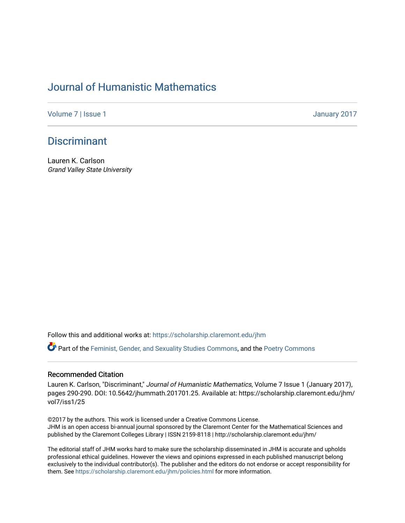## [Journal of Humanistic Mathematics](https://scholarship.claremont.edu/jhm)

[Volume 7](https://scholarship.claremont.edu/jhm/vol7) | [Issue 1](https://scholarship.claremont.edu/jhm/vol7/iss1) January 2017

## **Discriminant**

Lauren K. Carlson Grand Valley State University

Follow this and additional works at: [https://scholarship.claremont.edu/jhm](https://scholarship.claremont.edu/jhm?utm_source=scholarship.claremont.edu%2Fjhm%2Fvol7%2Fiss1%2F25&utm_medium=PDF&utm_campaign=PDFCoverPages)

Part of the [Feminist, Gender, and Sexuality Studies Commons](http://network.bepress.com/hgg/discipline/559?utm_source=scholarship.claremont.edu%2Fjhm%2Fvol7%2Fiss1%2F25&utm_medium=PDF&utm_campaign=PDFCoverPages), and the [Poetry Commons](http://network.bepress.com/hgg/discipline/1153?utm_source=scholarship.claremont.edu%2Fjhm%2Fvol7%2Fiss1%2F25&utm_medium=PDF&utm_campaign=PDFCoverPages)

## Recommended Citation

Lauren K. Carlson, "Discriminant," Journal of Humanistic Mathematics, Volume 7 Issue 1 (January 2017), pages 290-290. DOI: 10.5642/jhummath.201701.25. Available at: https://scholarship.claremont.edu/jhm/ vol7/iss1/25

©2017 by the authors. This work is licensed under a Creative Commons License. JHM is an open access bi-annual journal sponsored by the Claremont Center for the Mathematical Sciences and published by the Claremont Colleges Library | ISSN 2159-8118 | http://scholarship.claremont.edu/jhm/

The editorial staff of JHM works hard to make sure the scholarship disseminated in JHM is accurate and upholds professional ethical guidelines. However the views and opinions expressed in each published manuscript belong exclusively to the individual contributor(s). The publisher and the editors do not endorse or accept responsibility for them. See<https://scholarship.claremont.edu/jhm/policies.html> for more information.